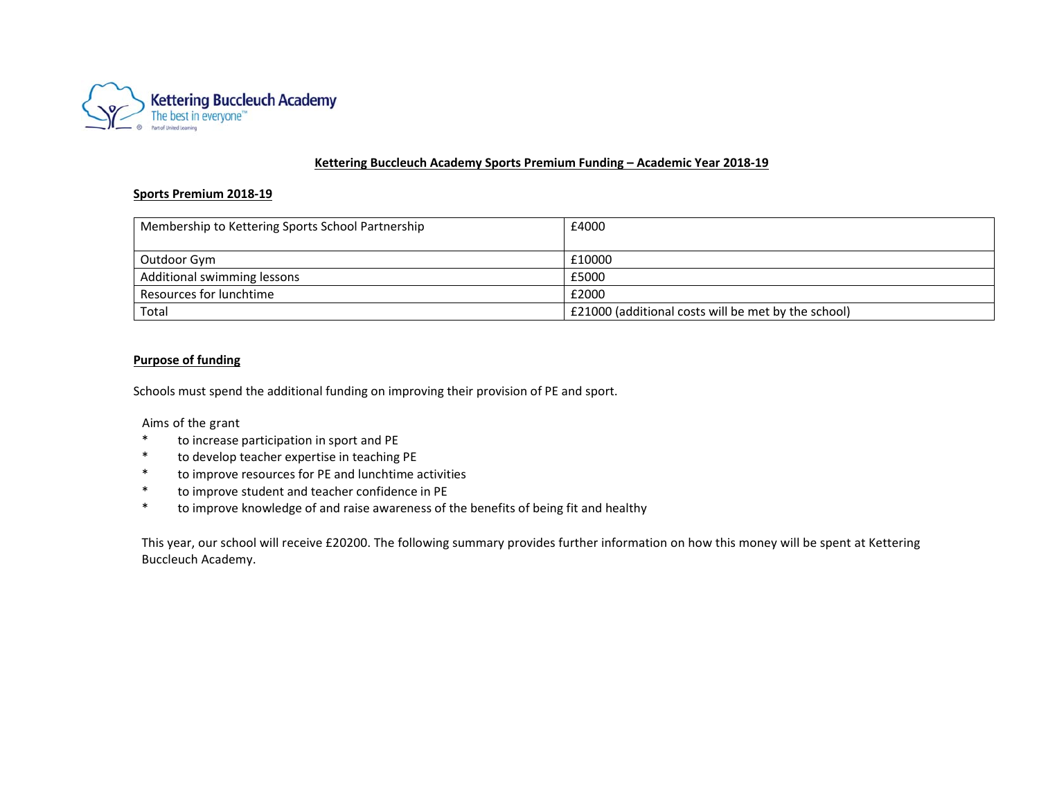

### **Kettering Buccleuch Academy Sports Premium Funding – Academic Year 2018‐19**

#### **Sports Premium 2018‐19**

| Membership to Kettering Sports School Partnership | £4000                                               |
|---------------------------------------------------|-----------------------------------------------------|
|                                                   |                                                     |
| Outdoor Gym                                       | £10000                                              |
| Additional swimming lessons                       | £5000                                               |
| Resources for lunchtime                           | £2000                                               |
| Total                                             | E21000 (additional costs will be met by the school) |

### **Purpose of funding**

Schools must spend the additional funding on improving their provision of PE and sport.

Aims of the grant

- \* to increase participation in sport and PE
- \* to develop teacher expertise in teaching PE
- \* to improve resources for PE and lunchtime activities
- \* to improve student and teacher confidence in PE
- \* to improve knowledge of and raise awareness of the benefits of being fit and healthy

This year, our school will receive £20200. The following summary provides further information on how this money will be spent at Kettering Buccleuch Academy.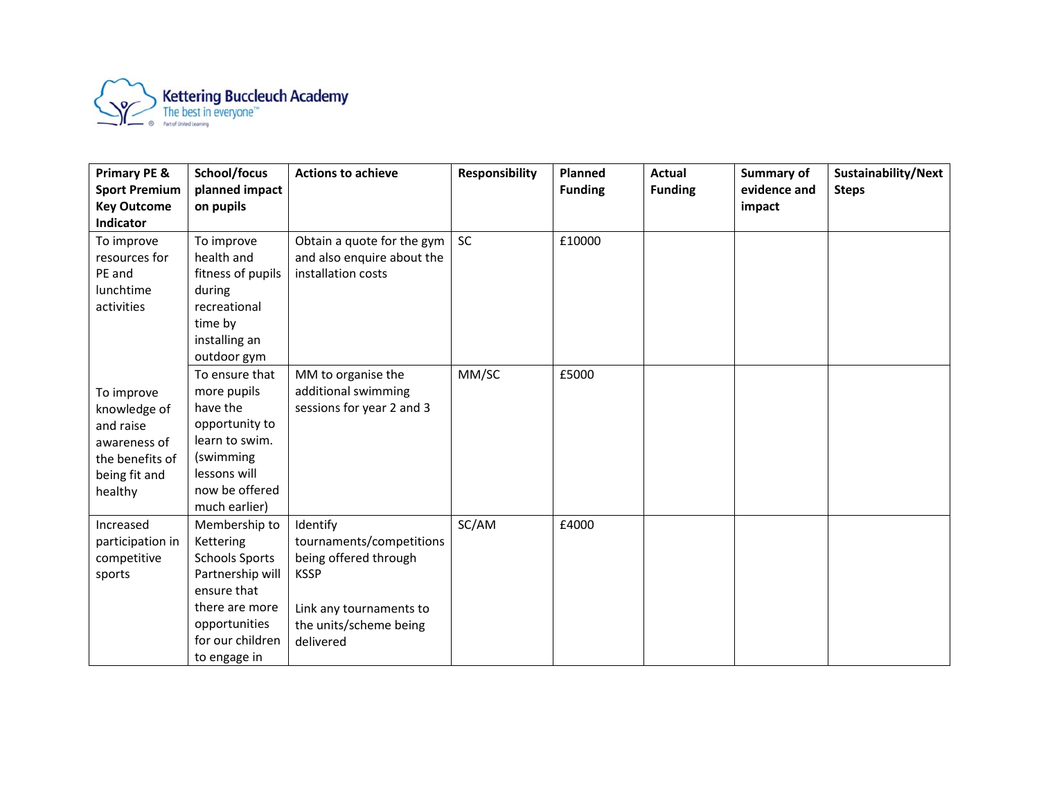

| <b>Primary PE &amp;</b>                                                                                | School/focus                                                                                                                                                  | <b>Actions to achieve</b>                                                                                                                      | <b>Responsibility</b> | <b>Planned</b> | <b>Actual</b>  | Summary of   | Sustainability/Next |
|--------------------------------------------------------------------------------------------------------|---------------------------------------------------------------------------------------------------------------------------------------------------------------|------------------------------------------------------------------------------------------------------------------------------------------------|-----------------------|----------------|----------------|--------------|---------------------|
| <b>Sport Premium</b>                                                                                   | planned impact                                                                                                                                                |                                                                                                                                                |                       | <b>Funding</b> | <b>Funding</b> | evidence and | <b>Steps</b>        |
| <b>Key Outcome</b><br>Indicator                                                                        | on pupils                                                                                                                                                     |                                                                                                                                                |                       |                |                | impact       |                     |
| To improve<br>resources for<br>PE and<br>lunchtime<br>activities                                       | To improve<br>health and<br>fitness of pupils<br>during<br>recreational<br>time by<br>installing an<br>outdoor gym                                            | Obtain a quote for the gym<br>and also enquire about the<br>installation costs                                                                 | <b>SC</b>             | £10000         |                |              |                     |
| To improve<br>knowledge of<br>and raise<br>awareness of<br>the benefits of<br>being fit and<br>healthy | To ensure that<br>more pupils<br>have the<br>opportunity to<br>learn to swim.<br>(swimming<br>lessons will<br>now be offered<br>much earlier)                 | MM to organise the<br>additional swimming<br>sessions for year 2 and 3                                                                         | MM/SC                 | £5000          |                |              |                     |
| Increased<br>participation in<br>competitive<br>sports                                                 | Membership to<br>Kettering<br><b>Schools Sports</b><br>Partnership will<br>ensure that<br>there are more<br>opportunities<br>for our children<br>to engage in | Identify<br>tournaments/competitions<br>being offered through<br><b>KSSP</b><br>Link any tournaments to<br>the units/scheme being<br>delivered | SC/AM                 | £4000          |                |              |                     |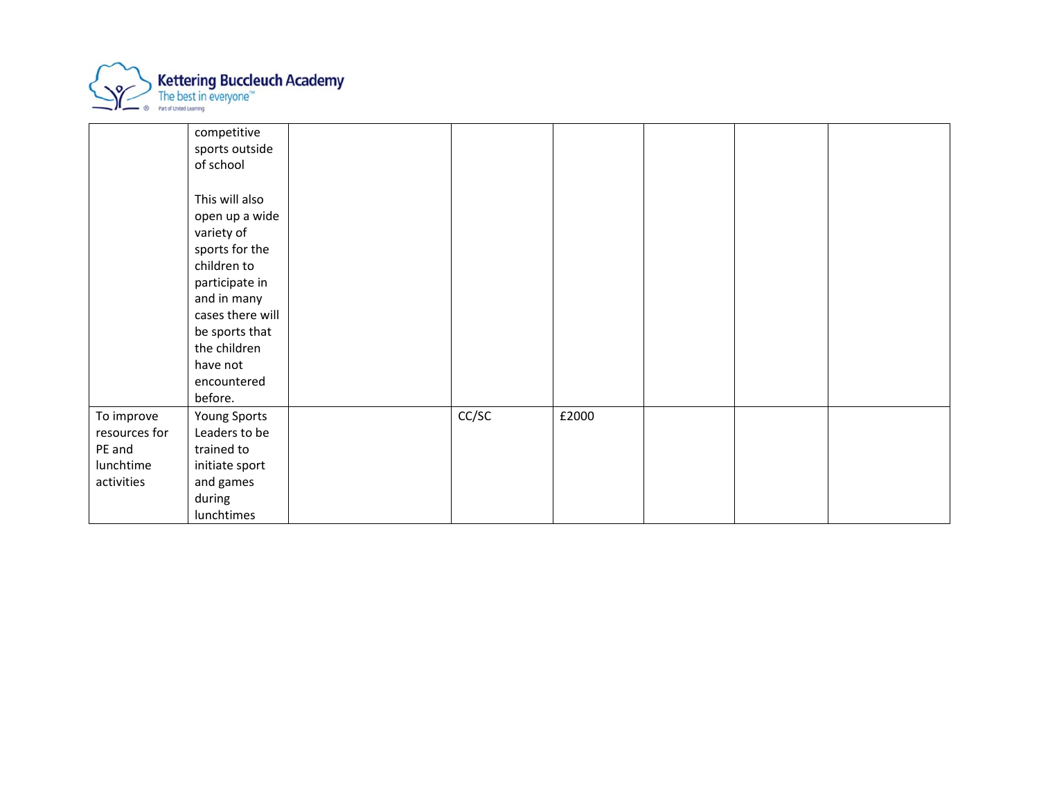

|                                                                  | competitive<br>sports outside<br>of school                                                                                                                                                                   |       |       |  |  |
|------------------------------------------------------------------|--------------------------------------------------------------------------------------------------------------------------------------------------------------------------------------------------------------|-------|-------|--|--|
|                                                                  | This will also<br>open up a wide<br>variety of<br>sports for the<br>children to<br>participate in<br>and in many<br>cases there will<br>be sports that<br>the children<br>have not<br>encountered<br>before. |       |       |  |  |
| To improve<br>resources for<br>PE and<br>lunchtime<br>activities | Young Sports<br>Leaders to be<br>trained to<br>initiate sport<br>and games<br>during<br>lunchtimes                                                                                                           | CC/SC | £2000 |  |  |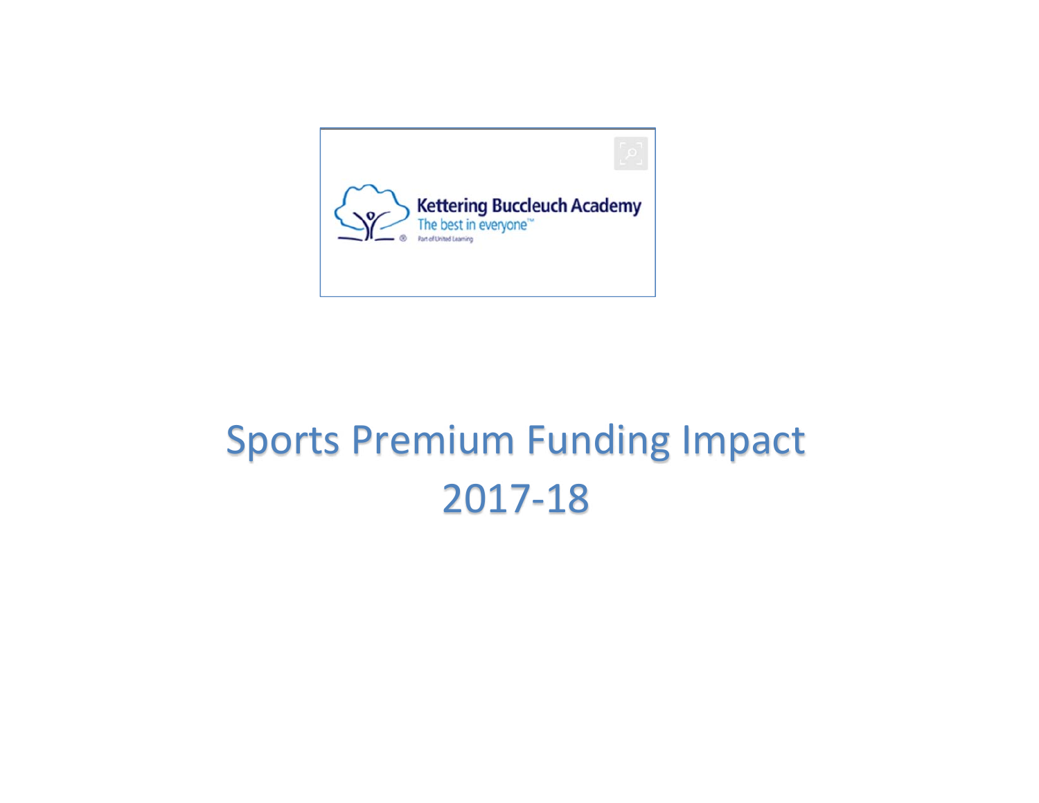

# Sports Premium Funding Impact 2017‐18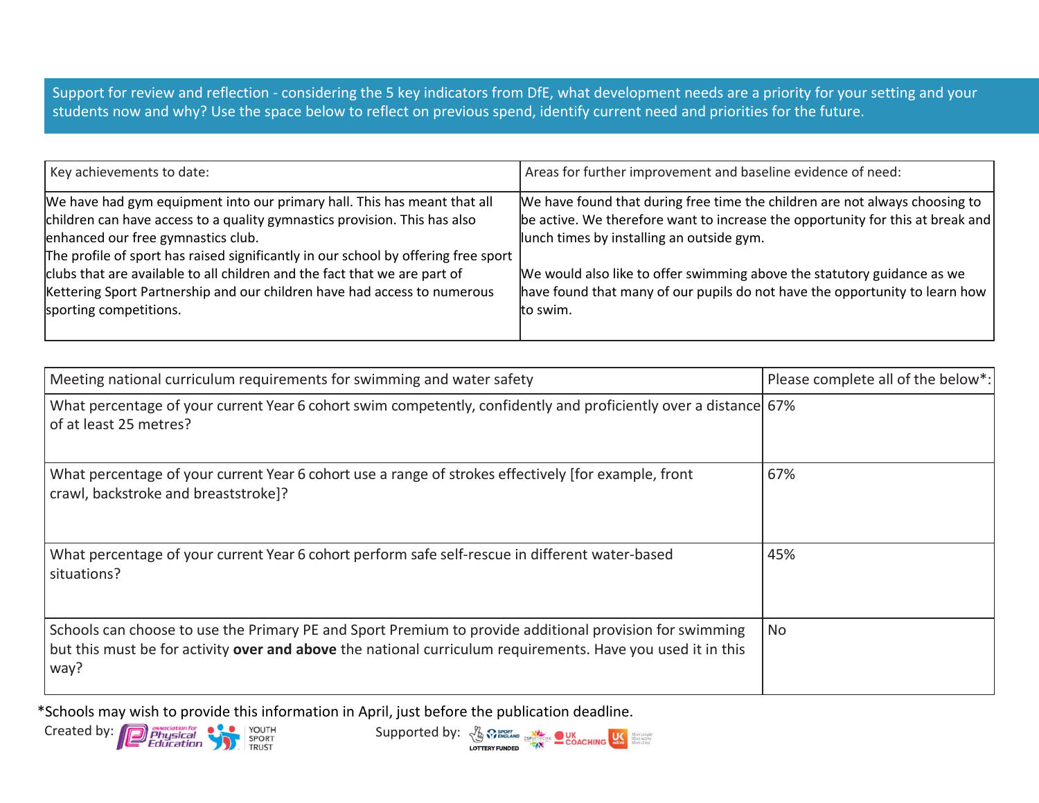Support for review and reflection - considering the 5 key indicators from DfE, what development needs are a priority for your setting and your students now and why? Use the space below to reflect on previous spend, identify current need and priorities for the future.

| Key achievements to date:                                                                                                                                                                                                                                                                                                                                                                                                                                            | Areas for further improvement and baseline evidence of need:                                                                                                                                                                                                                                                                                                                     |
|----------------------------------------------------------------------------------------------------------------------------------------------------------------------------------------------------------------------------------------------------------------------------------------------------------------------------------------------------------------------------------------------------------------------------------------------------------------------|----------------------------------------------------------------------------------------------------------------------------------------------------------------------------------------------------------------------------------------------------------------------------------------------------------------------------------------------------------------------------------|
| We have had gym equipment into our primary hall. This has meant that all<br>children can have access to a quality gymnastics provision. This has also<br>enhanced our free gymnastics club.<br>The profile of sport has raised significantly in our school by offering free sport<br>clubs that are available to all children and the fact that we are part of<br>Kettering Sport Partnership and our children have had access to numerous<br>sporting competitions. | We have found that during free time the children are not always choosing to<br>be active. We therefore want to increase the opportunity for this at break and<br>lunch times by installing an outside gym.<br>We would also like to offer swimming above the statutory guidance as we<br>have found that many of our pupils do not have the opportunity to learn how<br>to swim. |
|                                                                                                                                                                                                                                                                                                                                                                                                                                                                      |                                                                                                                                                                                                                                                                                                                                                                                  |

| Meeting national curriculum requirements for swimming and water safety                                                                                                                                                         | Please complete all of the below*: |
|--------------------------------------------------------------------------------------------------------------------------------------------------------------------------------------------------------------------------------|------------------------------------|
| What percentage of your current Year 6 cohort swim competently, confidently and proficiently over a distance 67%<br>of at least 25 metres?                                                                                     |                                    |
| What percentage of your current Year 6 cohort use a range of strokes effectively [for example, front<br>crawl, backstroke and breaststroke]?                                                                                   | 67%                                |
| What percentage of your current Year 6 cohort perform safe self-rescue in different water-based<br>situations?                                                                                                                 | 45%                                |
| Schools can choose to use the Primary PE and Sport Premium to provide additional provision for swimming<br>but this must be for activity over and above the national curriculum requirements. Have you used it in this<br>way? | <b>No</b>                          |

\*Schools may wish to provide this information in April, just before the publication deadline.

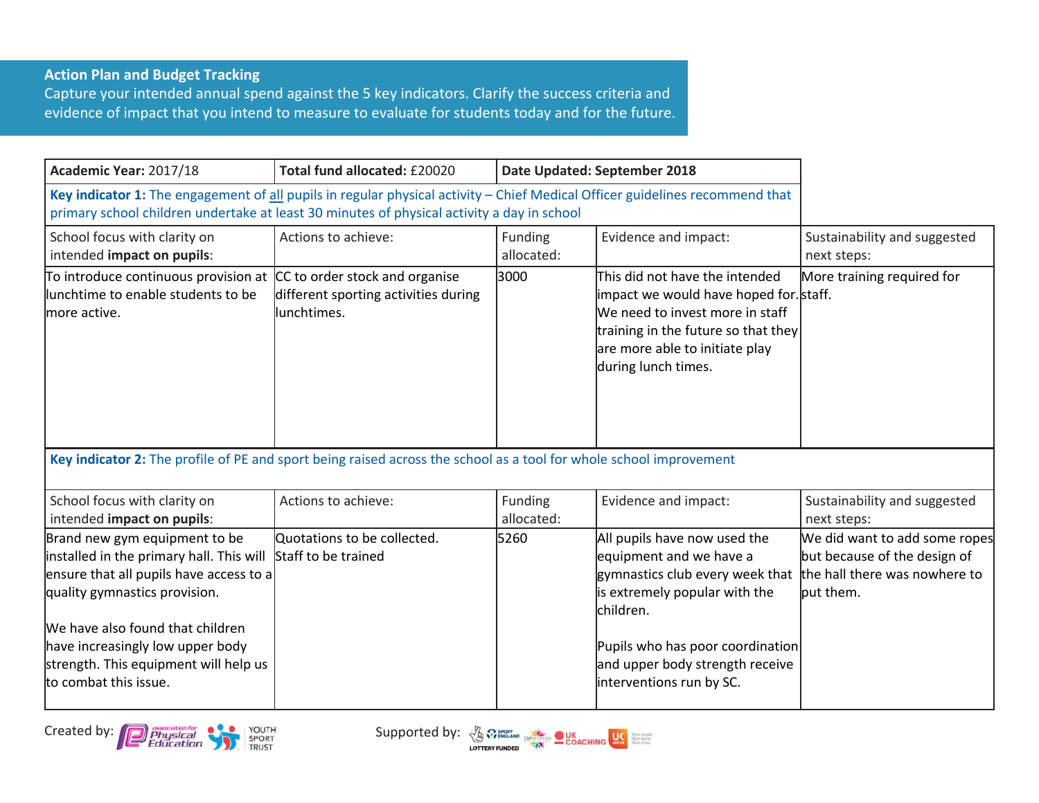## **Action Plan and Budget Tracking**

Capture your intended annual spend against the 5 key indicators. Clarify the success criteria and evidence of impact that you intend to measure to evaluate for students today and for the future.

| Academic Year: 2017/18                                                                                                                                                                                                                                                                          | Total fund allocated: £20020                         | Date Updated: September 2018 |                                                                                                                                                                                                                                             |                                                                                                             |
|-------------------------------------------------------------------------------------------------------------------------------------------------------------------------------------------------------------------------------------------------------------------------------------------------|------------------------------------------------------|------------------------------|---------------------------------------------------------------------------------------------------------------------------------------------------------------------------------------------------------------------------------------------|-------------------------------------------------------------------------------------------------------------|
| Key indicator 1: The engagement of all pupils in regular physical activity - Chief Medical Officer guidelines recommend that<br>primary school children undertake at least 30 minutes of physical activity a day in school                                                                      |                                                      |                              |                                                                                                                                                                                                                                             |                                                                                                             |
| School focus with clarity on<br>intended impact on pupils:                                                                                                                                                                                                                                      | Actions to achieve:                                  | Funding<br>allocated:        | Evidence and impact:                                                                                                                                                                                                                        | Sustainability and suggested<br>next steps:                                                                 |
| To introduce continuous provision at CC to order stock and organise<br>lunchtime to enable students to be<br>more active.                                                                                                                                                                       | different sporting activities during<br>llunchtimes. | 3000                         | This did not have the intended<br>impact we would have hoped for. staff.<br>We need to invest more in staff<br>training in the future so that they<br>are more able to initiate play<br>during lunch times.                                 | More training required for                                                                                  |
| Key indicator 2: The profile of PE and sport being raised across the school as a tool for whole school improvement                                                                                                                                                                              |                                                      |                              |                                                                                                                                                                                                                                             |                                                                                                             |
| School focus with clarity on<br>intended impact on pupils:                                                                                                                                                                                                                                      | Actions to achieve:                                  | Funding<br>allocated:        | Evidence and impact:                                                                                                                                                                                                                        | Sustainability and suggested<br>next steps:                                                                 |
| Brand new gym equipment to be<br>installed in the primary hall. This will<br>ensure that all pupils have access to a<br>quality gymnastics provision.<br>We have also found that children<br>have increasingly low upper body<br>strength. This equipment will help us<br>to combat this issue. | Quotations to be collected.<br>Staff to be trained   | 5260                         | All pupils have now used the<br>equipment and we have a<br>gymnastics club every week that<br>is extremely popular with the<br>children.<br>Pupils who has poor coordination<br>and upper body strength receive<br>interventions run by SC. | We did want to add some ropes<br>but because of the design of<br>the hall there was nowhere to<br>put them. |



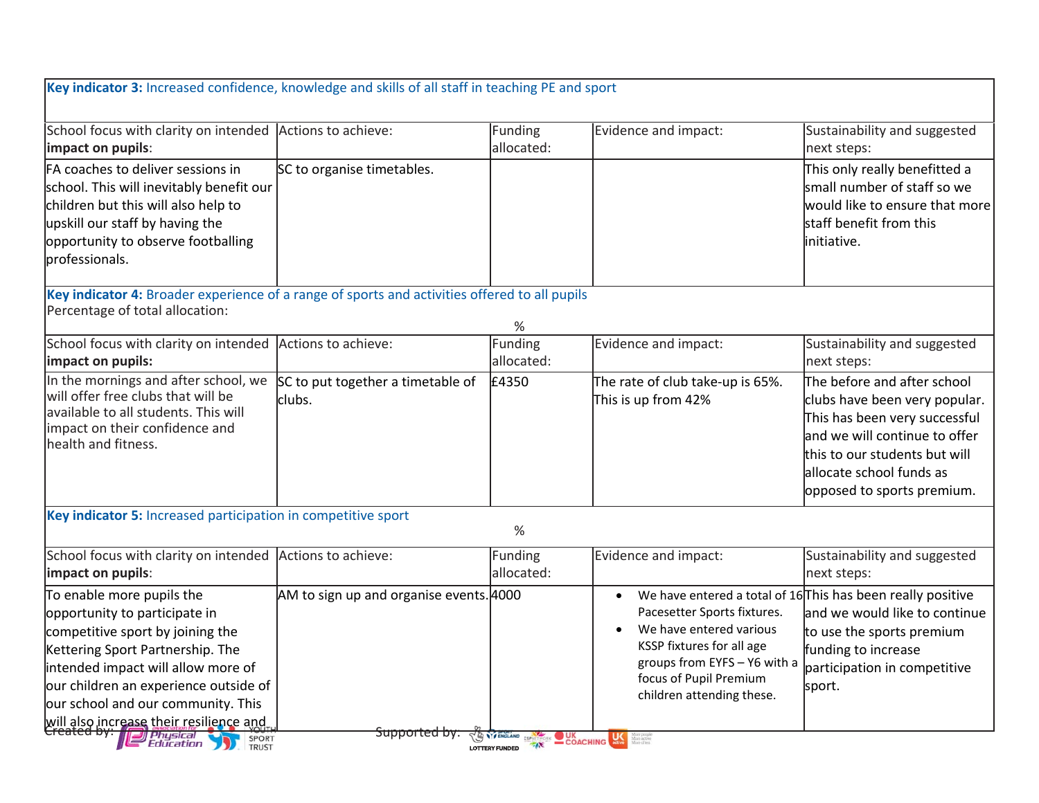| Key indicator 3: Increased confidence, knowledge and skills of all staff in teaching PE and sport                                                                                                                                                                                                           |                                                                       |                       |                                                                                                                                                                                                             |                                                                                                                                                                                                                           |  |  |  |
|-------------------------------------------------------------------------------------------------------------------------------------------------------------------------------------------------------------------------------------------------------------------------------------------------------------|-----------------------------------------------------------------------|-----------------------|-------------------------------------------------------------------------------------------------------------------------------------------------------------------------------------------------------------|---------------------------------------------------------------------------------------------------------------------------------------------------------------------------------------------------------------------------|--|--|--|
| School focus with clarity on intended<br>impact on pupils:                                                                                                                                                                                                                                                  | Actions to achieve:                                                   | Funding<br>allocated: | Evidence and impact:                                                                                                                                                                                        | Sustainability and suggested<br>next steps:                                                                                                                                                                               |  |  |  |
| FA coaches to deliver sessions in<br>school. This will inevitably benefit our<br>children but this will also help to<br>upskill our staff by having the<br>opportunity to observe footballing<br>professionals.                                                                                             | SC to organise timetables.                                            |                       |                                                                                                                                                                                                             | This only really benefitted a<br>small number of staff so we<br>would like to ensure that more<br>staff benefit from this<br>initiative.                                                                                  |  |  |  |
| Key indicator 4: Broader experience of a range of sports and activities offered to all pupils                                                                                                                                                                                                               |                                                                       |                       |                                                                                                                                                                                                             |                                                                                                                                                                                                                           |  |  |  |
| Percentage of total allocation:                                                                                                                                                                                                                                                                             |                                                                       | %                     |                                                                                                                                                                                                             |                                                                                                                                                                                                                           |  |  |  |
| School focus with clarity on intended<br>impact on pupils:                                                                                                                                                                                                                                                  | Actions to achieve:                                                   | Funding<br>allocated: | Evidence and impact:                                                                                                                                                                                        | Sustainability and suggested<br>next steps:                                                                                                                                                                               |  |  |  |
| In the mornings and after school, we<br>will offer free clubs that will be<br>available to all students. This will<br>impact on their confidence and<br>health and fitness.                                                                                                                                 | SC to put together a timetable of<br>clubs.                           | £4350                 | The rate of club take-up is 65%.<br>This is up from 42%                                                                                                                                                     | The before and after school<br>clubs have been very popular.<br>This has been very successful<br>and we will continue to offer<br>this to our students but will<br>allocate school funds as<br>opposed to sports premium. |  |  |  |
|                                                                                                                                                                                                                                                                                                             | Key indicator 5: Increased participation in competitive sport<br>$\%$ |                       |                                                                                                                                                                                                             |                                                                                                                                                                                                                           |  |  |  |
| School focus with clarity on intended Actions to achieve:<br>impact on pupils:                                                                                                                                                                                                                              |                                                                       | Funding<br>allocated: | Evidence and impact:                                                                                                                                                                                        | Sustainability and suggested<br>next steps:                                                                                                                                                                               |  |  |  |
| To enable more pupils the<br>opportunity to participate in<br>competitive sport by joining the<br>Kettering Sport Partnership. The<br>intended impact will allow more of<br>our children an experience outside of<br>our school and our community. This<br>will also increase their resilience and<br>SPORT | AM to sign up and organise events. 4000<br><del>Supported by:</del>   | THE STA ENGLAND       | Pacesetter Sports fixtures.<br>We have entered various<br>KSSP fixtures for all age<br>groups from EYFS - Y6 with a<br>focus of Pupil Premium<br>children attending these.<br>COACHING <b>LAS MANAGERIA</b> | We have entered a total of $16$ This has been really positive<br>and we would like to continue<br>to use the sports premium<br>funding to increase<br>participation in competitive<br>sport.                              |  |  |  |
| <i>Physical</i><br>Education<br>SPORT                                                                                                                                                                                                                                                                       |                                                                       | <b>LOTTERY FUNDED</b> |                                                                                                                                                                                                             |                                                                                                                                                                                                                           |  |  |  |